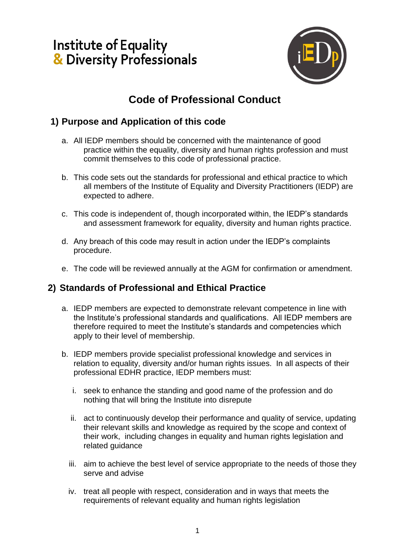## **Institute of Equality<br>& Diversity Professionals**



## **Code of Professional Conduct**

## **1) Purpose and Application of this code**

- a. All IEDP members should be concerned with the maintenance of good practice within the equality, diversity and human rights profession and must commit themselves to this code of professional practice.
- b. This code sets out the standards for professional and ethical practice to which all members of the Institute of Equality and Diversity Practitioners (IEDP) are expected to adhere.
- c. This code is independent of, though incorporated within, the IEDP's standards and assessment framework for equality, diversity and human rights practice.
- d. Any breach of this code may result in action under the IEDP's complaints procedure.
- e. The code will be reviewed annually at the AGM for confirmation or amendment.

## **2) Standards of Professional and Ethical Practice**

- a. IEDP members are expected to demonstrate relevant competence in line with the Institute's professional standards and qualifications. All IEDP members are therefore required to meet the Institute's standards and competencies which apply to their level of membership.
- b. IEDP members provide specialist professional knowledge and services in relation to equality, diversity and/or human rights issues. In all aspects of their professional EDHR practice, IEDP members must:
	- i. seek to enhance the standing and good name of the profession and do nothing that will bring the Institute into disrepute
	- ii. act to continuously develop their performance and quality of service, updating their relevant skills and knowledge as required by the scope and context of their work, including changes in equality and human rights legislation and related guidance
	- iii. aim to achieve the best level of service appropriate to the needs of those they serve and advise
	- iv. treat all people with respect, consideration and in ways that meets the requirements of relevant equality and human rights legislation